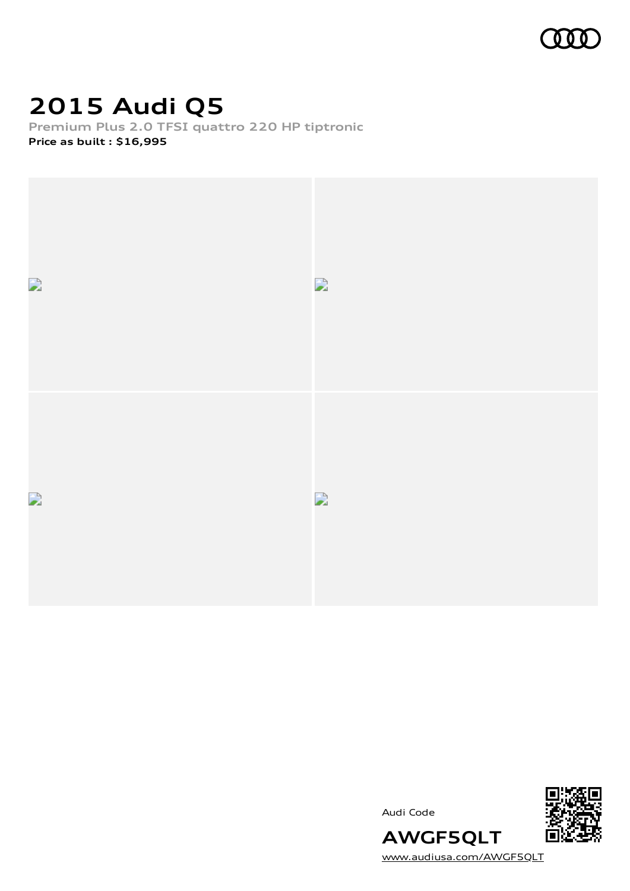

### **2015 Audi Q5**

**Premium Plus 2.0 TFSI quattro 220 HP tiptronic Price as built [:](#page-10-0) \$16,995**



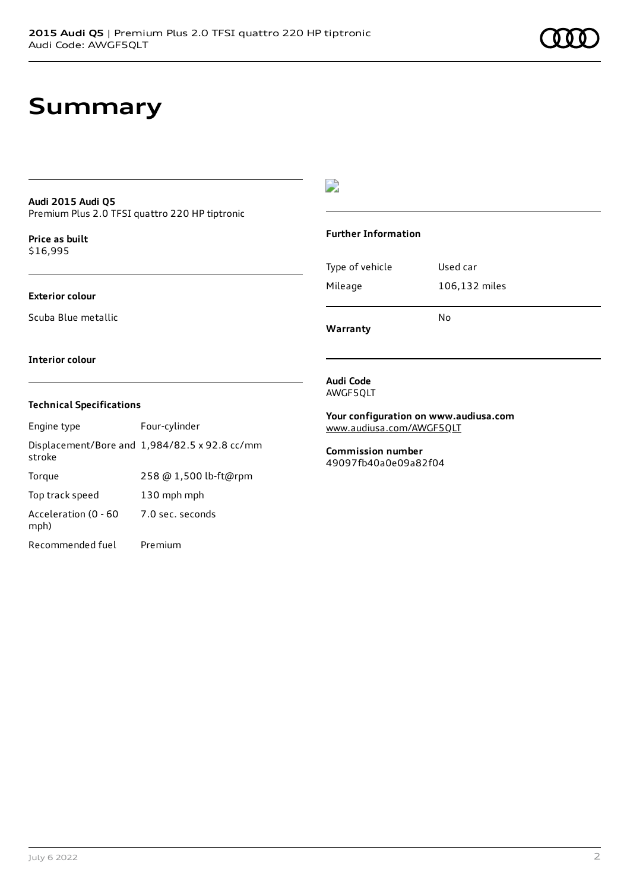### **Summary**

#### **Audi 2015 Audi Q5** Premium Plus 2.0 TFSI quattro 220 HP tiptronic

**Price as buil[t](#page-10-0)** \$16,995

### **Exterior colour**

Scuba Blue metallic

 $\overline{\phantom{a}}$ 

#### **Further Information**

|                 | No            |
|-----------------|---------------|
| Mileage         | 106,132 miles |
| Type of vehicle | Used car      |

**Warranty**

#### **Interior colour**

#### **Technical Specifications**

| Engine type                  | Four-cylinder                                 |
|------------------------------|-----------------------------------------------|
| stroke                       | Displacement/Bore and 1,984/82.5 x 92.8 cc/mm |
| Torque                       | 258 @ 1,500 lb-ft@rpm                         |
| Top track speed              | 130 mph mph                                   |
| Acceleration (0 - 60<br>mph) | 7.0 sec. seconds                              |
| Recommended fuel             | Premium                                       |

#### **Audi Code** AWGF5QLT

**Your configuration on www.audiusa.com** [www.audiusa.com/AWGF5QLT](https://www.audiusa.com/AWGF5QLT)

#### **Commission number** 49097fb40a0e09a82f04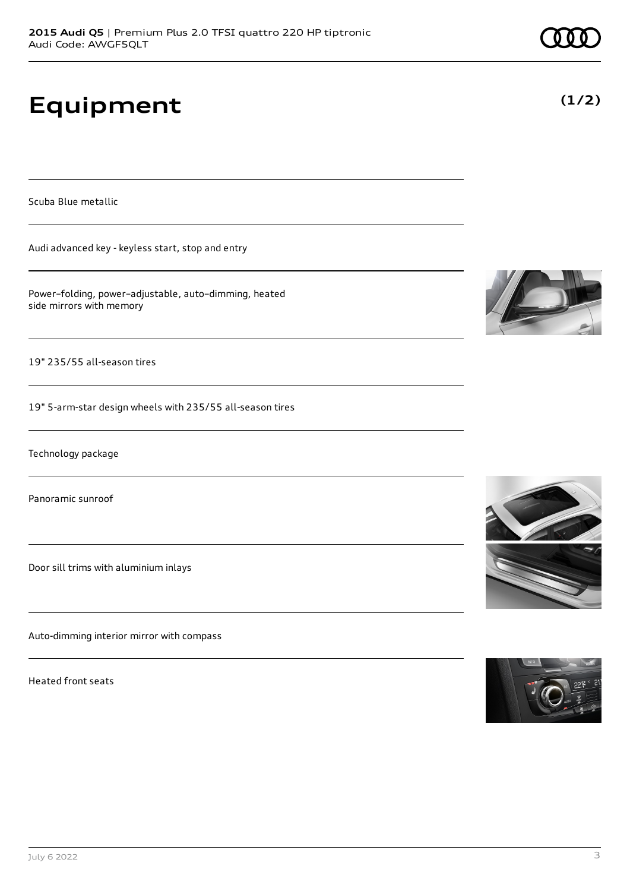# **Equipment**

Scuba Blue metallic

Audi advanced key - keyless start, stop and entry

Power–folding, power–adjustable, auto–dimming, heated side mirrors with memory

19" 235/55 all-season tires

19" 5-arm-star design wheels with 235/55 all-season tires

Technology package

Panoramic sunroof

Door sill trims with aluminium inlays

Auto-dimming interior mirror with compass

Heated front seats







**(1/2)**

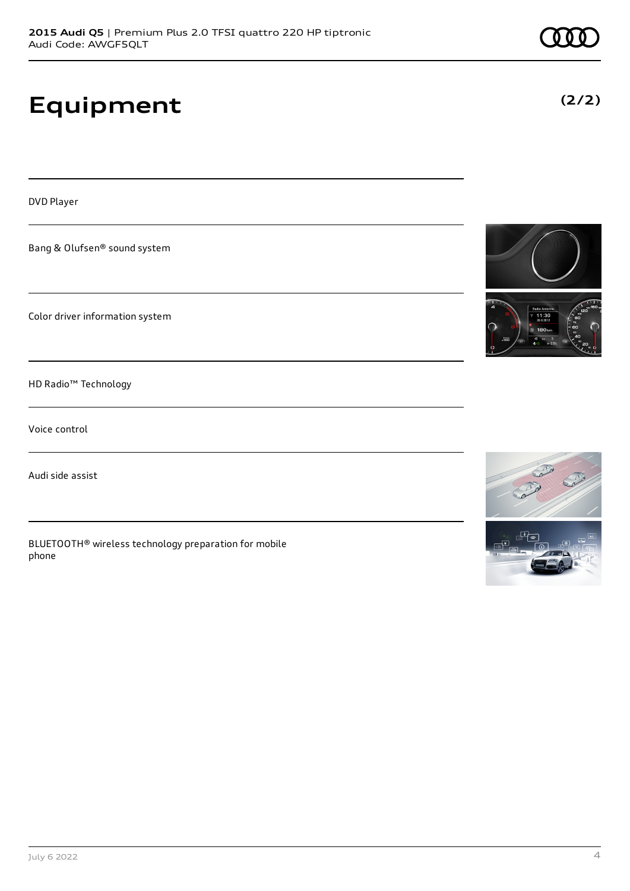# **Equipment**

DVD Player

Bang & Olufsen® sound system

Color driver information system

HD Radio™ Technology

Voice control

Audi side assist

BLUETOOTH® wireless technology preparation for mobile phone







**(2/2)**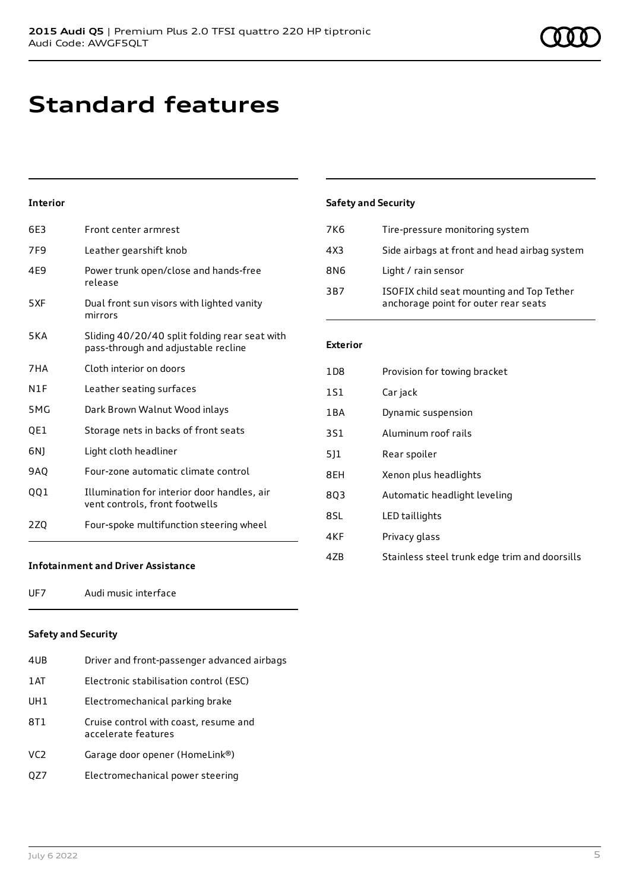### **Standard features**

### **Interior**

| 6F3             | Front center armrest                                                                 |
|-----------------|--------------------------------------------------------------------------------------|
| 7F <sub>9</sub> | Leather gearshift knob                                                               |
| 4E9             | Power trunk open/close and hands-free<br>release                                     |
| 5XF             | Dual front sun visors with lighted vanity<br>mirrors                                 |
| <b>5KA</b>      | Sliding 40/20/40 split folding rear seat with<br>pass-through and adjustable recline |
| 7HA             | Cloth interior on doors                                                              |
| N1F             | Leather seating surfaces                                                             |
| 5MG             | Dark Brown Walnut Wood inlays                                                        |
| QE1             | Storage nets in backs of front seats                                                 |
| 6N)             | Light cloth headliner                                                                |
| 9AQ             | Four-zone automatic climate control                                                  |
| QQ1             | Illumination for interior door handles, air<br>vent controls, front footwells        |
| 2ZQ             | Four-spoke multifunction steering wheel                                              |

### **Safety and Security**

| 7K6 | Tire-pressure monitoring system                                                   |
|-----|-----------------------------------------------------------------------------------|
| 4X3 | Side airbags at front and head airbag system                                      |
| 8N6 | Light / rain sensor                                                               |
| 3B7 | ISOFIX child seat mounting and Top Tether<br>anchorage point for outer rear seats |

### **Exterior**

| 1D <sub>8</sub> | Provision for towing bracket                  |
|-----------------|-----------------------------------------------|
| 1S1             | Car jack                                      |
| 1BA             | Dynamic suspension                            |
| 3S1             | Aluminum roof rails                           |
| 511             | Rear spoiler                                  |
| 8EH             | Xenon plus headlights                         |
| 803             | Automatic headlight leveling                  |
| 8SL             | LED taillights                                |
| 4KF             | Privacy glass                                 |
| 4ZB             | Stainless steel trunk edge trim and doorsills |

### **Infotainment and Driver Assistance**

UF7 Audi music interface

### **Safety and Security**

| 4UB | Driver and front-passenger advanced airbags                  |
|-----|--------------------------------------------------------------|
| 1AT | Electronic stabilisation control (ESC)                       |
| UH1 | Electromechanical parking brake                              |
| 8T1 | Cruise control with coast, resume and<br>accelerate features |
| VC2 | Garage door opener (HomeLink®)                               |
| QZ7 | Electromechanical power steering                             |
|     |                                                              |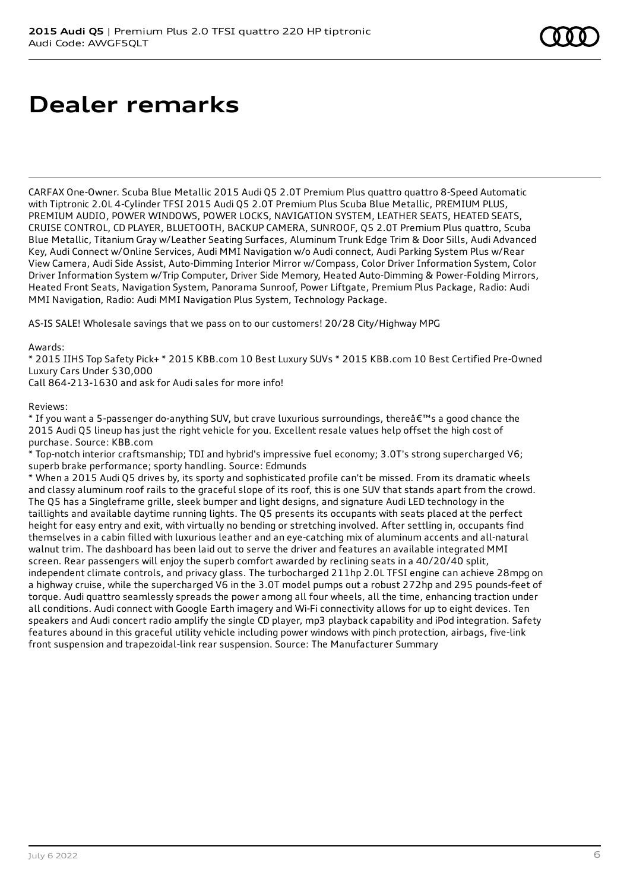## **Dealer remarks**

CARFAX One-Owner. Scuba Blue Metallic 2015 Audi Q5 2.0T Premium Plus quattro quattro 8-Speed Automatic with Tiptronic 2.0L 4-Cylinder TFSI 2015 Audi Q5 2.0T Premium Plus Scuba Blue Metallic, PREMIUM PLUS, PREMIUM AUDIO, POWER WINDOWS, POWER LOCKS, NAVIGATION SYSTEM, LEATHER SEATS, HEATED SEATS, CRUISE CONTROL, CD PLAYER, BLUETOOTH, BACKUP CAMERA, SUNROOF, Q5 2.0T Premium Plus quattro, Scuba Blue Metallic, Titanium Gray w/Leather Seating Surfaces, Aluminum Trunk Edge Trim & Door Sills, Audi Advanced Key, Audi Connect w/Online Services, Audi MMI Navigation w/o Audi connect, Audi Parking System Plus w/Rear View Camera, Audi Side Assist, Auto-Dimming Interior Mirror w/Compass, Color Driver Information System, Color Driver Information System w/Trip Computer, Driver Side Memory, Heated Auto-Dimming & Power-Folding Mirrors, Heated Front Seats, Navigation System, Panorama Sunroof, Power Liftgate, Premium Plus Package, Radio: Audi MMI Navigation, Radio: Audi MMI Navigation Plus System, Technology Package.

AS-IS SALE! Wholesale savings that we pass on to our customers! 20/28 City/Highway MPG

Awards:

\* 2015 IIHS Top Safety Pick+ \* 2015 KBB.com 10 Best Luxury SUVs \* 2015 KBB.com 10 Best Certified Pre-Owned Luxury Cars Under \$30,000

Call 864-213-1630 and ask for Audi sales for more info!

Reviews:

\* If you want a 5-passenger do-anything SUV, but crave luxurious surroundings, there  $\hat{\mathbf{a}} \in \mathbb{R}^N$  a good chance the 2015 Audi Q5 lineup has just the right vehicle for you. Excellent resale values help offset the high cost of purchase. Source: KBB.com

\* Top-notch interior craftsmanship; TDI and hybrid's impressive fuel economy; 3.0T's strong supercharged V6; superb brake performance; sporty handling. Source: Edmunds

\* When a 2015 Audi Q5 drives by, its sporty and sophisticated profile can't be missed. From its dramatic wheels and classy aluminum roof rails to the graceful slope of its roof, this is one SUV that stands apart from the crowd. The Q5 has a Singleframe grille, sleek bumper and light designs, and signature Audi LED technology in the taillights and available daytime running lights. The Q5 presents its occupants with seats placed at the perfect height for easy entry and exit, with virtually no bending or stretching involved. After settling in, occupants find themselves in a cabin filled with luxurious leather and an eye-catching mix of aluminum accents and all-natural walnut trim. The dashboard has been laid out to serve the driver and features an available integrated MMI screen. Rear passengers will enjoy the superb comfort awarded by reclining seats in a 40/20/40 split, independent climate controls, and privacy glass. The turbocharged 211hp 2.0L TFSI engine can achieve 28mpg on a highway cruise, while the supercharged V6 in the 3.0T model pumps out a robust 272hp and 295 pounds-feet of torque. Audi quattro seamlessly spreads the power among all four wheels, all the time, enhancing traction under all conditions. Audi connect with Google Earth imagery and Wi-Fi connectivity allows for up to eight devices. Ten speakers and Audi concert radio amplify the single CD player, mp3 playback capability and iPod integration. Safety features abound in this graceful utility vehicle including power windows with pinch protection, airbags, five-link front suspension and trapezoidal-link rear suspension. Source: The Manufacturer Summary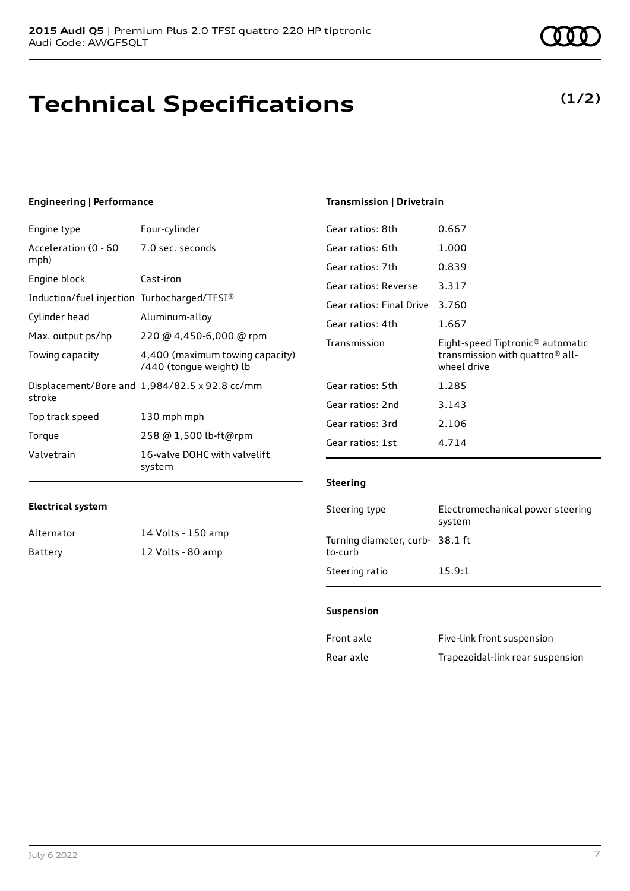## **Technical Specifications**

July 6 2022 7

**Electrical system**

Alternator 14 Volts - 150 amp Battery 12 Volts - 80 amp

### **Engineering | Performance**

Engine type Four-cylinder

| Acceleration (0 - 60 - 7.0 sec. seconds<br>mph) |                                                            |
|-------------------------------------------------|------------------------------------------------------------|
| Engine block                                    | Cast-iron                                                  |
| Induction/fuel injection Turbocharged/TFSI®     |                                                            |
| Cylinder head                                   | Aluminum-alloy                                             |
| Max. output ps/hp                               | 220 @ 4,450-6,000 @ rpm                                    |
| Towing capacity                                 | 4,400 (maximum towing capacity)<br>/440 (tonque weight) lb |
| stroke                                          | Displacement/Bore and 1,984/82.5 x 92.8 cc/mm              |
| Top track speed                                 | 130 mph mph                                                |
| Torque                                          | 258 @ 1,500 lb-ft@rpm                                      |
| Valvetrain                                      | 16-valve DOHC with valvelift<br>system                     |

### **Transmission | Drivetrain**

| Gear ratios: 8th         | 0.667                                                                                                      |
|--------------------------|------------------------------------------------------------------------------------------------------------|
| Gear ratios: 6th         | 1.000                                                                                                      |
| Gear ratios: 7th         | 0.839                                                                                                      |
| Gear ratios: Reverse     | 3.317                                                                                                      |
| Gear ratios: Final Drive | 3.760                                                                                                      |
| Gear ratios: 4th         | 1.667                                                                                                      |
|                          |                                                                                                            |
| Transmission             | Eight-speed Tiptronic <sup>®</sup> automatic<br>transmission with quattro <sup>®</sup> all-<br>wheel drive |
| Gear ratios: 5th         | 1.285                                                                                                      |
| Gear ratios: 2nd         | 3.143                                                                                                      |
| Gear ratios: 3rd         | 2.106                                                                                                      |
| Gear ratios: 1st         | 4.714                                                                                                      |

#### **Steering**

| Steering type                              | Electromechanical power steering<br>system |
|--------------------------------------------|--------------------------------------------|
| Turning diameter, curb- 38.1 ft<br>to-curb |                                            |
| Steering ratio                             | 15.9:1                                     |

#### **Suspension**

| Front axle | Five-link front suspension       |
|------------|----------------------------------|
| Rear axle  | Trapezoidal-link rear suspension |



### **(1/2)**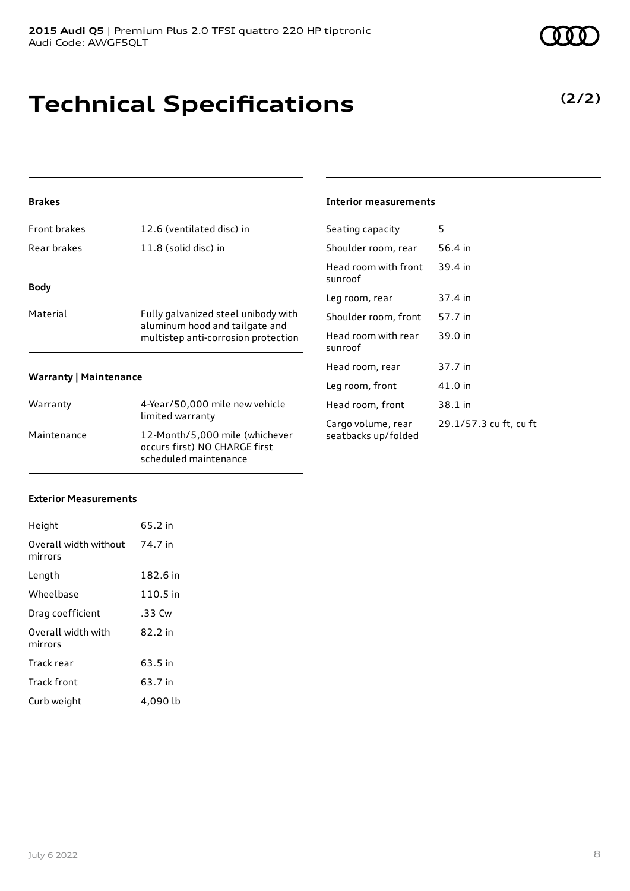July 6 2022 8

## **Technical Specifications**

### **Brakes**

| Rear brakes                   | 11.8 (solid disc) in                                                                                         |  |
|-------------------------------|--------------------------------------------------------------------------------------------------------------|--|
| Body                          |                                                                                                              |  |
| Material                      | Fully galvanized steel unibody with<br>aluminum hood and tailgate and<br>multistep anti-corrosion protection |  |
| <b>Warranty   Maintenance</b> |                                                                                                              |  |
| Warranty                      | 4-Year/50,000 mile new vehicle<br>limited warranty                                                           |  |
| Maintenance                   | 12-Month/5,000 mile (whichever<br>occurs first) NO CHARGE first                                              |  |

scheduled maintenance

Front brakes 12.6 (ventilated disc) in

### **Interior measurements**

| Seating capacity                          | 5                      |
|-------------------------------------------|------------------------|
| Shoulder room, rear                       | 56.4 in                |
| Head room with front<br>sunroof           | 39.4 in                |
| Leg room, rear                            | 37.4 in                |
| Shoulder room, front                      | 57.7 in                |
| Head room with rear<br>sunroof            | 39.0 in                |
| Head room, rear                           | 37.7 in                |
| Leg room, front                           | 41.0 in                |
| Head room, front                          | 38.1 in                |
| Cargo volume, rear<br>seatbacks up/folded | 29.1/57.3 cu ft, cu ft |

### **Exterior Measurements**

| Height                           | 65.2 in  |
|----------------------------------|----------|
| Overall width without<br>mirrors | 74.7 in  |
| Length                           | 182.6 in |
| Wheelbase                        | 110.5 in |
| Drag coefficient                 | .33 Cw   |
| Overall width with<br>mirrors    | 82.2 in  |
| Track rear                       | 63.5 in  |
| Track front                      | 63.7 in  |
| Curb weight                      | 4.090 lb |

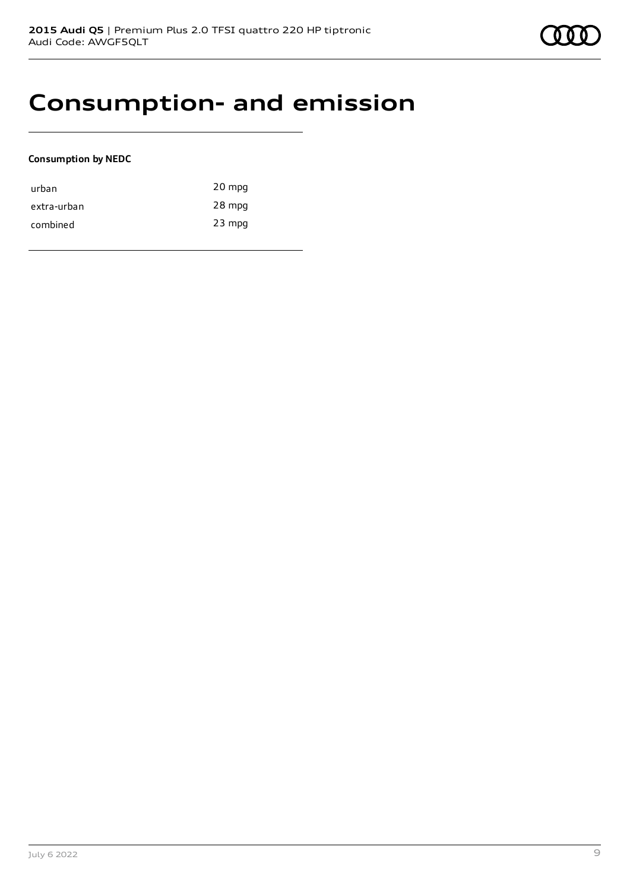

### **Consumption- and emission**

### **Consumption by NEDC**

| urban       | 20 mpg   |
|-------------|----------|
| extra-urban | 28 mpg   |
| combined    | $23$ mpg |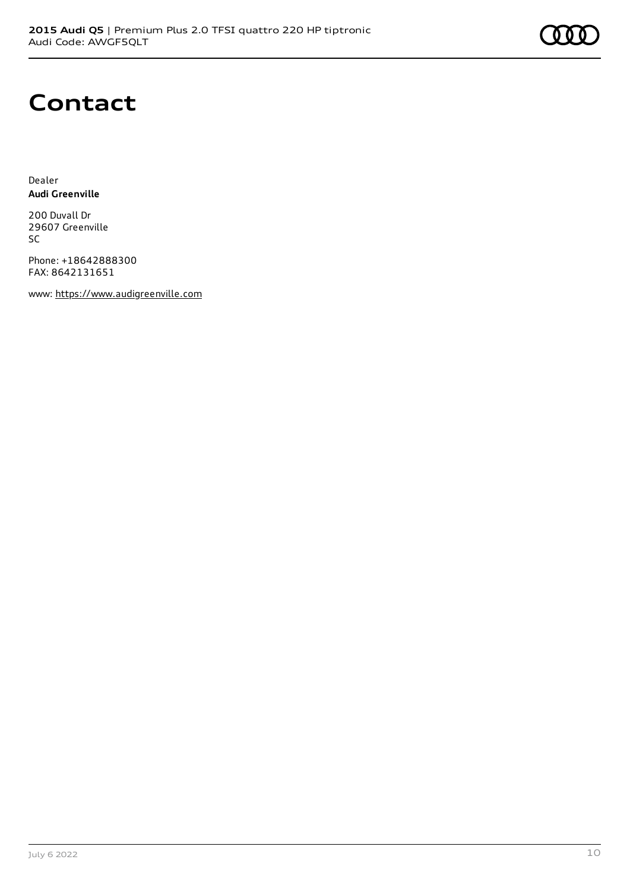### **Contact**

Dealer **Audi Greenville**

200 Duvall Dr 29607 Greenville SC

Phone: +18642888300 FAX: 8642131651

www: [https://www.audigreenville.com](https://www.audigreenville.com/)